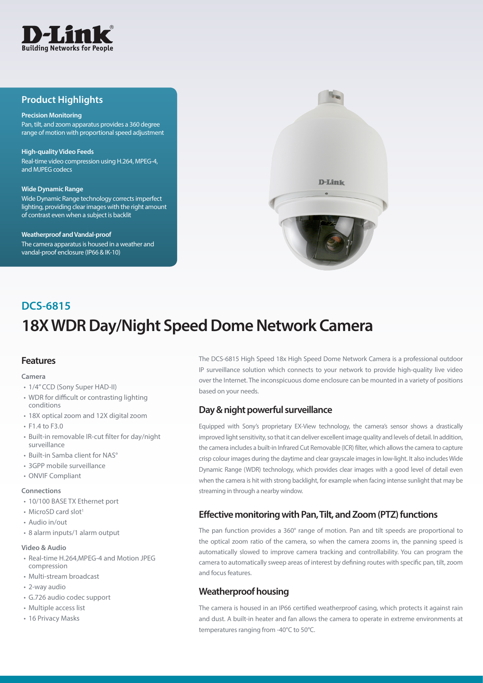

### **Product Highlights**

#### **Precision Monitoring**

Pan, tilt, and zoom apparatus provides a 360 degree range of motion with proportional speed adjustment

#### **High-quality Video Feeds**

Real-time video compression using H.264, MPEG-4, and MJPEG codecs

#### **Wide Dynamic Range**

Wide Dynamic Range technology corrects imperfect lighting, providing clear images with the right amount of contrast even when a subject is backlit

#### **Weatherproof and Vandal-proof**

The camera apparatus is housed in a weather and vandal-proof enclosure (IP66 & IK-10)



# **18X WDR Day/Night Speed Dome Network Camera DCS-6815**

### **Features**

#### **Camera**

- 1/4" CCD (Sony Super HAD-II)
- WDR for difficult or contrasting lighting conditions
- 18X optical zoom and 12X digital zoom
- $\cdot$  F1.4 to F3.0
- • Built-in removable IR-cut filter for day/night surveillance
- Built-in Samba client for NAS°
- 3GPP mobile surveillance
- • ONVIF Compliant

#### **Connections**

- 10/100 BASE TX Ethernet port
- MicroSD card slot<sup>1</sup>
- • Audio in/out
- • 8 alarm inputs/1 alarm output

#### **Video & Audio**

- Real-time H.264, MPEG-4 and Motion JPEG compression
- • Multi-stream broadcast
- • 2-way audio
- • G.726 audio codec support
- Multiple access list
- 16 Privacy Masks

The DCS-6815 High Speed 18x High Speed Dome Network Camera is a professional outdoor IP surveillance solution which connects to your network to provide high-quality live video over the Internet. The inconspicuous dome enclosure can be mounted in a variety of positions based on your needs.

### **Day & night powerful surveillance**

Equipped with Sony's proprietary EX-View technology, the camera's sensor shows a drastically improved light sensitivity, so that it can deliver excellent image quality and levels of detail. In addition, the camera includes a built-in Infrared Cut Removable (ICR) filter, which allows the camera to capture crisp colour images during the daytime and clear grayscale images in low-light. It also includes Wide Dynamic Range (WDR) technology, which provides clear images with a good level of detail even when the camera is hit with strong backlight, for example when facing intense sunlight that may be streaming in through a nearby window.

### **Effective monitoring with Pan, Tilt, and Zoom (PTZ) functions**

The pan function provides a 360° range of motion. Pan and tilt speeds are proportional to the optical zoom ratio of the camera, so when the camera zooms in, the panning speed is automatically slowed to improve camera tracking and controllability. You can program the camera to automatically sweep areas of interest by defining routes with specific pan, tilt, zoom and focus features.

### **Weatherproof housing**

The camera is housed in an IP66 certified weatherproof casing, which protects it against rain and dust. A built-in heater and fan allows the camera to operate in extreme environments at temperatures ranging from -40°C to 50°C.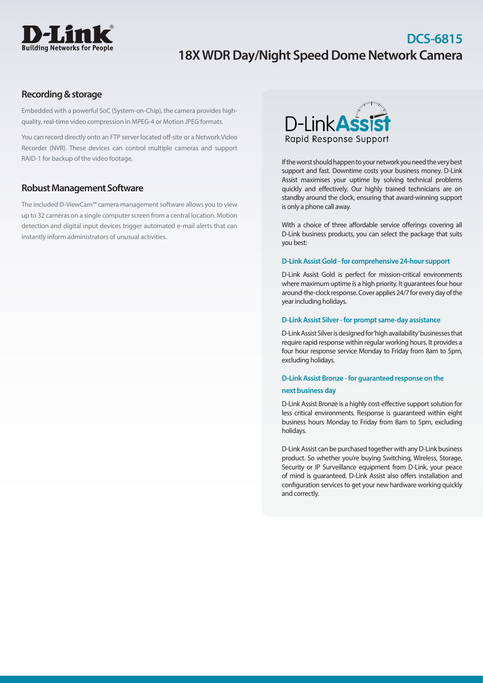

## **DCS-6815 18X WDR Day/Night Speed Dome Network Camera**

### **Recording & storage**

Embedded with a powerful SoC (System-on-Chip), the camera provides highquality, real-time video compression in MPEG-4 or Motion JPEG formats.

You can record directly onto an FTP server located off-site or a Network Video Recorder (NVR). These devices can control multiple cameras and support RAID-1 for backup of the video footage.

### **Robust Management Software**

The included D-ViewCam™ camera management software allows you to view up to 32 cameras on a single computer screen from a central location. Motion detection and digital input devices trigger automated e-mail alerts that can instantly inform administrators of unusual activities.



If the worst should happen to your network you need the very best support and fast. Downtime costs your business money. D-Link Assist maximises your uptime by solving technical problems quickly and effectively. Our highly trained technicians are on standby around the clock, ensuring that award-winning support is only a phone call away.

With a choice of three affordable service offerings covering all D-Link business products, you can select the package that suits you best:

### **D-Link Assist Gold - for comprehensive 24-hour support**

D-Link Assist Gold is perfect for mission-critical environments where maximum uptime is a high priority. It guarantees four hour around-the-clock response. Cover applies 24/7 for every day of the year including holidays.

### **D-Link Assist Silver - for prompt same-day assistance**

D-Link Assist Silver is designed for 'high availability' businesses that require rapid response within regular working hours. It provides a four hour response service Monday to Friday from 8am to 5pm, excluding holidays.

### **D-Link Assist Bronze - for guaranteed response on the next business day**

D-Link Assist Bronze is a highly cost-effective support solution for less critical environments. Response is guaranteed within eight business hours Monday to Friday from 8am to 5pm, excluding holidays.

D-Link Assist can be purchased together with any D-Link business product. So whether you're buying Switching, Wireless, Storage, Security or IP Surveillance equipment from D-Link, your peace of mind is guaranteed. D-Link Assist also offers installation and configuration services to get your new hardware working quickly and correctly.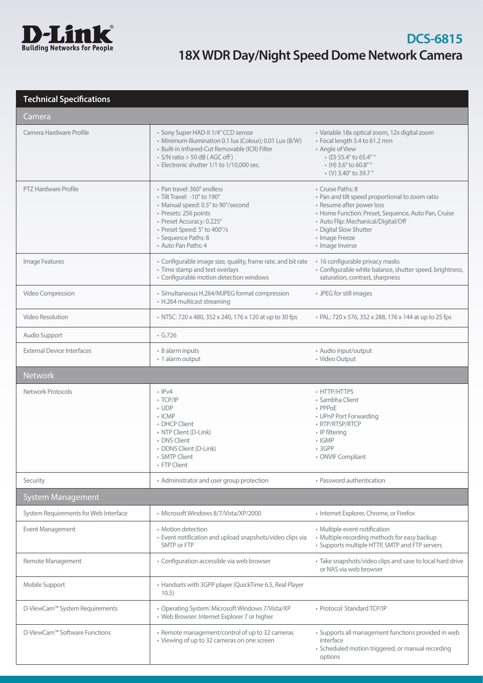

### **Technical Specifications**

| Camera                                |                                                                                                                                                                                                                                      |                                                                                                                                                                                                                                                                |
|---------------------------------------|--------------------------------------------------------------------------------------------------------------------------------------------------------------------------------------------------------------------------------------|----------------------------------------------------------------------------------------------------------------------------------------------------------------------------------------------------------------------------------------------------------------|
| Camera Hardware Profile               | • Sony Super HAD-II 1/4" CCD sensor<br>• Minimum illumination 0.1 lux (Colour); 0.01 Lux (B/W)<br>· Built-in Infrared-Cut Removable (ICR) Filter<br>$\cdot$ S/N ratio > 50 dB (AGC off)<br>· Electronic shutter 1/1 to 1/10,000 sec. | · Variable 18x optical zoom, 12x digital zoom<br>· Focal length 3.4 to 61.2 mm<br>• Angle of View<br>$\cdot$ (D) 55.4° to 65.4° °<br>$\cdot$ (H) 3.6 $^{\circ}$ to 60.8 $^{\circ}$<br>$\cdot$ (V) 3.40 $^{\circ}$ to 39.7 $^{\circ}$                           |
| <b>PTZ Hardware Profile</b>           | • Pan travel: 360° endless<br>• Tilt Travel: -10° to 190°<br>• Manual speed: 0.5° to 90°/second<br>· Presets: 256 points<br>• Preset Accuracy: 0.225°<br>• Preset Speed: 5° to 400°/s<br>· Sequence Paths: 8<br>• Auto Pan Paths: 4  | • Cruise Paths: 8<br>• Pan and tilt speed proportional to zoom ratio<br>• Resume after power loss<br>• Home Function: Preset, Sequence, Auto Pan, Cruise<br>• Auto Flip: Mechanical/Digital/Off<br>• Digital Slow Shutter<br>• Image Freeze<br>· Image Inverse |
| Image Features                        | • Configurable image size, quality, frame rate, and bit rate<br>• Time stamp and text overlays<br>• Configurable motion detection windows                                                                                            | · 16 configurable privacy masks<br>• Configurable white balance, shutter speed, brightness,<br>saturation, contrast, sharpness                                                                                                                                 |
| Video Compression                     | • Simultaneous H.264/MJPEG format compression<br>• H.264 multicast streaming                                                                                                                                                         | • JPEG for still images                                                                                                                                                                                                                                        |
| Video Resolution                      | • NTSC: 720 x 480, 352 x 240, 176 x 120 at up to 30 fps                                                                                                                                                                              | • PAL: 720 x 576, 352 x 288, 176 x 144 at up to 25 fps                                                                                                                                                                                                         |
| Audio Support                         | $\cdot$ G.726                                                                                                                                                                                                                        |                                                                                                                                                                                                                                                                |
| <b>External Device Interfaces</b>     | • 8 alarm inputs<br>• 1 alarm output                                                                                                                                                                                                 | • Audio input/output<br>· Video Output                                                                                                                                                                                                                         |
| <b>Network</b>                        |                                                                                                                                                                                                                                      |                                                                                                                                                                                                                                                                |
| Network Protocols                     | $\cdot$ IPv4<br>$\cdot$ TCP/IP<br>$\cdot$ UDP<br>$\cdot$ ICMP<br>• DHCP Client<br>• NTP Client (D-Link)<br>• DNS Client<br>· DDNS Client (D-Link)<br>• SMTP Client<br>• FTP Client                                                   | • HTTP/HTTPS<br>• Sambha Client<br>• PPPoE<br>• UPnP Port Forwarding<br>• RTP/RTSP/RTCP<br>• IP filtering<br>$\cdot$ IGMP<br>• 3GPP<br>• ONVIF Compliant                                                                                                       |
| Security                              | • Administrator and user group protection                                                                                                                                                                                            | • Password authentication                                                                                                                                                                                                                                      |
| <b>System Management</b>              |                                                                                                                                                                                                                                      |                                                                                                                                                                                                                                                                |
| System Requirements for Web Interface | · Microsoft Windows 8/7/Vista/XP/2000                                                                                                                                                                                                | • Internet Explorer, Chrome, or Firefox                                                                                                                                                                                                                        |
| Event Management                      | • Motion detection<br>· Event notification and upload snapshots/video clips via<br>SMTP or FTP                                                                                                                                       | • Multiple event notification<br>• Multiple recording methods for easy backup<br>• Supports multiple HTTP, SMTP and FTP servers                                                                                                                                |
| Remote Management                     | • Configuration accessible via web browser                                                                                                                                                                                           | • Take snapshots/video clips and save to local hard drive<br>or NAS via web browser                                                                                                                                                                            |
| Mobile Support                        | • Handsets with 3GPP player (QuickTime 6.5, Real Player<br>10.5)                                                                                                                                                                     |                                                                                                                                                                                                                                                                |
| D-ViewCam™ System Requirements        | • Operating System: Microsoft Windows 7/Vista/XP<br>• Web Browser: Internet Explorer 7 or higher                                                                                                                                     | · Protocol: Standard TCP/IP                                                                                                                                                                                                                                    |
| D-ViewCam™ Software Functions         | • Remote management/control of up to 32 cameras<br>• Viewing of up to 32 cameras on one screen                                                                                                                                       | · Supports all management functions provided in web<br>interface<br>· Scheduled motion triggered, or manual recording<br>options                                                                                                                               |